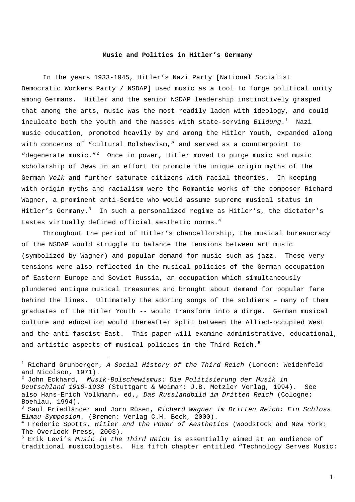### **Music and Politics in Hitler's Germany**

In the years 1933-1945, Hitler's Nazi Party [National Socialist Democratic Workers Party / NSDAP] used music as a tool to forge political unity among Germans. Hitler and the senior NSDAP leadership instinctively grasped that among the arts, music was the most readily laden with ideology, and could inculcate both the youth and the masses with state-serving *Bildung*.[1](#page-0-0) Nazi music education, promoted heavily by and among the Hitler Youth, expanded along with concerns of "cultural Bolshevism," and served as a counterpoint to "degenerate music."<sup>[2](#page-0-1)</sup> Once in power, Hitler moved to purge music and music scholarship of Jews in an effort to promote the unique origin myths of the German *Volk* and further saturate citizens with racial theories. In keeping with origin myths and racialism were the Romantic works of the composer Richard Wagner, a prominent anti-Semite who would assume supreme musical status in Hitler's Germany.<sup>[3](#page-0-2)</sup> In such a personalized regime as Hitler's, the dictator's tastes virtually defined official aesthetic norms. $4$ 

Throughout the period of Hitler's chancellorship, the musical bureaucracy of the NSDAP would struggle to balance the tensions between art music (symbolized by Wagner) and popular demand for music such as jazz. These very tensions were also reflected in the musical policies of the German occupation of Eastern Europe and Soviet Russia, an occupation which simultaneously plundered antique musical treasures and brought about demand for popular fare behind the lines. Ultimately the adoring songs of the soldiers – many of them graduates of the Hitler Youth -- would transform into a dirge. German musical culture and education would thereafter split between the Allied-occupied West and the anti-fascist East. This paper will examine administrative, educational, and artistic aspects of musical policies in the Third Reich.<sup>[5](#page-0-4)</sup>

<span id="page-0-0"></span><sup>1</sup> Richard Grunberger, *A Social History of the Third Reich* (London: Weidenfeld and Nicolson, 1971).

<span id="page-0-1"></span><sup>2</sup> John Eckhard, *Musik-Bolschewismus: Die Politisierung der Musik in Deutschland 1918-1938* (Stuttgart & Weimar: J.B. Metzler Verlag, 1994). See also Hans-Erich Volkmann, ed., *Das Russlandbild im Dritten Reich* (Cologne: Boehlau, 1994)**.** 

<span id="page-0-2"></span><sup>3</sup> Saul Friedländer and Jorn Rüsen, *Richard Wagner im Dritten Reich: Ein Schloss Elmau-Symposion.* (Bremen: Verlag C.H. Beck, 2000). 4

<span id="page-0-3"></span>Frederic Spotts, *Hitler and the Power of Aesthetics* (Woodstock and New York: The Overlook Press, 2003).

<span id="page-0-4"></span><sup>5</sup> Erik Levi's *Music in the Third Reich* is essentially aimed at an audience of traditional musicologists. His fifth chapter entitled "Technology Serves Music: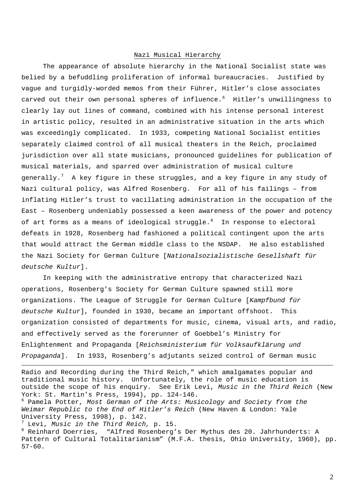## Nazi Musical Hierarchy

The appearance of absolute hierarchy in the National Socialist state was belied by a befuddling proliferation of informal bureaucracies. Justified by vague and turgidly-worded memos from their Führer, Hitler's close associates carved out their own personal spheres of influence.<sup>[6](#page-1-0)</sup> Hitler's unwillingness to clearly lay out lines of command, combined with his intense personal interest in artistic policy, resulted in an administrative situation in the arts which was exceedingly complicated. In 1933, competing National Socialist entities separately claimed control of all musical theaters in the Reich, proclaimed jurisdiction over all state musicians, pronounced guidelines for publication of musical materials, and sparred over administration of musical culture generally.<sup>[7](#page-1-1)</sup> A key figure in these struggles, and a key figure in any study of Nazi cultural policy, was Alfred Rosenberg. For all of his failings – from inflating Hitler's trust to vacillating administration in the occupation of the East – Rosenberg undeniably possessed a keen awareness of the power and potency of art forms as a means of ideological struggle. $8$  In response to electoral defeats in 1928, Rosenberg had fashioned a political contingent upon the arts that would attract the German middle class to the NSDAP. He also established the Nazi Society for German Culture [*Nationalsozialistische Gesellshaft für deutsche Kultur*].

In keeping with the administrative entropy that characterized Nazi operations, Rosenberg's Society for German Culture spawned still more organizations. The League of Struggle for German Culture [*Kampfbund für deutsche Kultur*], founded in 1930, became an important offshoot. This organization consisted of departments for music, cinema, visual arts, and radio, and effectively served as the forerunner of Goebbel's Ministry for Enlightenment and Propaganda [*Reichsministerium für Volksaufklärung und Propaganda*]. In 1933, Rosenberg's adjutants seized control of German music

Radio and Recording during the Third Reich," which amalgamates popular and traditional music history. Unfortunately, the role of music education is outside the scope of his enquiry. See Erik Levi, *Music in the Third Reich* (New York: St. Martin's Press, 1994), pp. 124-146.

<span id="page-1-0"></span>6 Pamela Potter, *Most German of the Arts: Musicology and Society from the Weimar Republic to the End of Hitler's Reich* (New Haven & London: Yale University Press, 1998), p. 142.

<span id="page-1-1"></span><sup>7</sup> Levi, *Music in the Third Reich,* p. 15.<br><sup>8</sup> Poinbard Deerries - "Alfred Pesephers's

1

<span id="page-1-2"></span> Reinhard Doerries, "Alfred Rosenberg's Der Mythus des 20. Jahrhunderts: A Pattern of Cultural Totalitarianism" (M.F.A. thesis, Ohio University, 1960), pp. 57-60.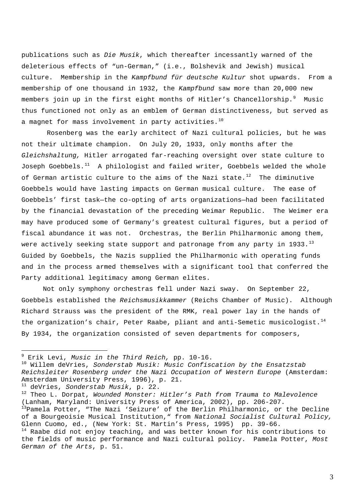publications such as *Die Musik*, which thereafter incessantly warned of the deleterious effects of "un-German," (i.e., Bolshevik and Jewish) musical culture. Membership in the *Kampfbund für deutsche Kultur* shot upwards. From a membership of one thousand in 1932, the *Kampfbund* saw more than 20,000 new members join up in the first eight months of Hitler's Chancellorship.<sup>[9](#page-2-0)</sup> Music thus functioned not only as an emblem of German distinctiveness, but served as a magnet for mass involvement in party activities. $10$ 

 Rosenberg was the early architect of Nazi cultural policies, but he was not their ultimate champion. On July 20, 1933, only months after the *Gleichshaltung,* Hitler arrogated far-reaching oversight over state culture to Joseph Goebbels. $11$  A philologist and failed writer, Goebbels welded the whole of German artistic culture to the aims of the Nazi state.<sup>[12](#page-2-3)</sup> The diminutive Goebbels would have lasting impacts on German musical culture. The ease of Goebbels' first task—the co-opting of arts organizations—had been facilitated by the financial devastation of the preceding Weimar Republic. The Weimer era may have produced some of Germany's greatest cultural figures, but a period of fiscal abundance it was not. Orchestras, the Berlin Philharmonic among them, were actively seeking state support and patronage from any party in 1933. $^{13}$  $^{13}$  $^{13}$ Guided by Goebbels, the Nazis supplied the Philharmonic with operating funds and in the process armed themselves with a significant tool that conferred the Party additional legitimacy among German elites.

Not only symphony orchestras fell under Nazi sway. On September 22, Goebbels established the *Reichsmusikkammer* (Reichs Chamber of Music). Although Richard Strauss was the president of the RMK, real power lay in the hands of the organization's chair, Peter Raabe, pliant and anti-Semetic musicologist.<sup>[14](#page-2-5)</sup> By 1934, the organization consisted of seven departments for composers,

<u>.</u>

<span id="page-2-2"></span><sup>11</sup> deVries, *Sonderstab Musik*, p. 22.<br><sup>12</sup> Theo L. Dorpat, *Wounded Monster: Hitler's Path from Trauma to Malevolence* (Lanham, Maryland: University Press of America, 2002), pp. 206-207. <sup>13</sup>Pamela Potter, "The Nazi 'Seizure' of the Berlin Philharmonic, or the Decline of a Bourgeoisie Musical Institution," from *National Socialist Cultural Policy,*  Glenn Cuomo, ed., (New York: St. Martin's Press, 1995) pp. 39-66.  $14$  Raabe did not enjoy teaching, and was better known for his contributions to the fields of music performance and Nazi cultural policy. Pamela Potter, *Most German of the Arts*, p. 51.

<span id="page-2-0"></span><sup>&</sup>lt;sup>9</sup> Erik Levi, Music in the Third Reich, pp. 10-16.

<span id="page-2-1"></span><sup>&</sup>lt;sup>10</sup> Willem deVries, *Sonderstab Musik: Music Confiscation by the Ensatzstab Reichsleiter Rosenberg under the Nazi Occupation of Western Europe* (Amsterdam: Amsterdam University Press, 1996), p. 21.

<span id="page-2-5"></span><span id="page-2-4"></span><span id="page-2-3"></span>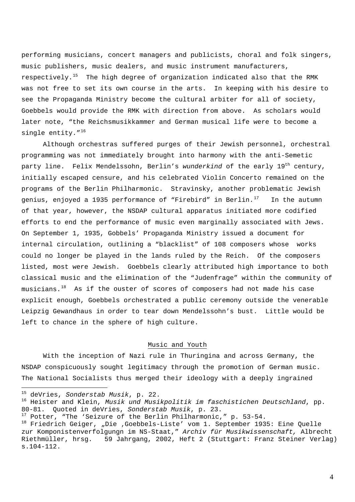performing musicians, concert managers and publicists, choral and folk singers, music publishers, music dealers, and music instrument manufacturers, respectively.<sup>[15](#page-3-0)</sup> The high degree of organization indicated also that the RMK was not free to set its own course in the arts. In keeping with his desire to see the Propaganda Ministry become the cultural arbiter for all of societ y, Goebbels would provide the RMK with direction from above. As scholars would later note, "the Reichsmusikkammer and German musical life were to become a single entity."<sup>[16](#page-3-1)</sup>

of that year, however, the NSDAP cultural apparatus initiated more codified Although orchestras suffered purges of their Jewish personnel, orchestral programming was not immediately brought into harmony with the anti-Semetic party line. Felix Mendelssohn, Berlin's *wunderkind* of the early 19<sup>th</sup> century, initially escaped censure, and his celebrated Violin Concerto remained on the programs of the Berlin Philharmonic. Stravinsky, another problematic Jewish genius, enjoyed a 1935 performance of "Firebird" in Berlin. $^{17}$  $^{17}$  $^{17}$  In the autumn efforts to end the performance of music even marginally associated with Jews. On September 1, 1935, Gobbels' Propaganda Ministry issued a document for internal circulation, outlining a "blacklist" of 108 composers whose works could no longer be played in the lands ruled by the Reich. Of the composers listed, most were Jewish. Goebbels clearly attributed high importance to both classical music and the elimination of the "Judenfrage" within the community of  $musicians.<sup>18</sup>$  $musicians.<sup>18</sup>$  $musicians.<sup>18</sup>$  As if the ouster of scores of composers had not made his case explicit enough, Goebbels orchestrated a public ceremony outside the venerable Leipzig Gewandhaus in order to tear down Mendelssohn's bust. Little would be left to chance in the sphere of high culture.

## Music and Youth

With the inception of Nazi rule in Thuringina and across Germany, the NSDAP conspicuously sought legitimacy through the promotion of German music. The National Socialists thus merged their ideology with a deeply ingrained

<span id="page-3-0"></span><sup>&</sup>lt;sup>15</sup> deVries, Sonderstab Musik, p. 22.

<span id="page-3-1"></span><sup>&</sup>lt;sup>16</sup> Heister and Klein, *Musik und Musikpolitik im faschistichen Deutschland*, pp. 80-81. Quoted in deVries, *Sonderstab Musik*, p. 23.<br><sup>17</sup> Potter, "The 'Seizure of the Berlin Philharmonic," p. 53-54.<br><sup>18</sup> Friedrich Geiger, "Die ,Goebbels-Liste' vom 1. September 1935: Eine Quelle

<span id="page-3-2"></span>

<span id="page-3-3"></span>zur Komponistenverfolgungn im NS-Staat," *Archiv für Musikwissenschaft,* Albrecht Riethmüller, hrsg. 59 Jahrgang, 2002, Heft 2 (Stuttgart: Franz Steiner Verlag) s.104-112.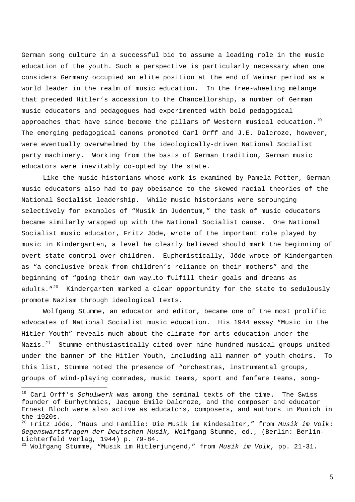German song culture in a successful bid to assume a leading role in the music education of the youth. Such a perspective is particularly necessary when one considers Germany occupied an elite position at the end of Weimar period as a world leader in the realm of music education. In the free-wheeling mélange that preceded Hitler's accession to the Chancellorship, a number of German music educators and pedagogues had experimented with bold pedagogical approaches that have since become the pillars of Western musical education.<sup>[19](#page-4-0)</sup> The emerging pedagogical canons promoted Carl Orff and J.E. Dalcroze, however, were eventually overwhelmed by the ideologically-driven National Socialist party machinery. Working from the basis of German tradition, German music educators were inevitably co-opted by the state.

Like the music historians whose work is examined by Pamela Potter, German music educators also had to pay obeisance to the skewed racial theories of the National Socialist leadership. While music historians were scrounging selectively for examples of "Musik im Judentum," the task of music educators became similarly wrapped up with the National Socialist cause. One National Socialist music educator, Fritz Jöde, wrote of the important role played by music in Kindergarten, a level he clearly believed should mark the beginning of overt state control over children. Euphemistically, Jöde wrote of Kindergarten as "a conclusive break from children's reliance on their mothers" and the beginning of "going their own way…to fulfill their goals and dreams as adults. $"^{20}$  $"^{20}$  $"^{20}$  Kindergarten marked a clear opportunity for the state to sedulously promote Nazism through ideological texts.

Wolfgang Stumme, an educator and editor, became one of the most prolific advocates of National Socialist music education. His 1944 essay "Music in the Hitler Youth" reveals much about the climate for arts education under the Nazis. $21$  Stumme enthusiastically cited over nine hundred musical groups united under the banner of the Hitler Youth, including all manner of youth choirs. To this list, Stumme noted the presence of "orchestras, instrumental groups, groups of wind-playing comrades, music teams, sport and fanfare teams, song-

<span id="page-4-0"></span><sup>19</sup> Carl Orff's *Schulwerk* was among the seminal texts of the time. The Swiss founder of Eurhythmics, Jacque Emile Dalcroze, and the composer and educator Ernest Bloch were also active as educators, composers, and authors in Munich in the 1920s.

<span id="page-4-1"></span><sup>20</sup> Fritz Jöde, "Haus und Familie: Die Musik im Kindesalter," from *Musik im Volk*: *Gegenswartsfragen der Deutschen Musik,* Wolfgang Stumme, ed., (Berlin: Berlin-Lichterfeld Verlag, 1944) p. 79-84.

<span id="page-4-2"></span><sup>21</sup> Wolfgang Stumme, "Musik im Hitlerjungend," from *Musik im Volk*, pp. 21-31.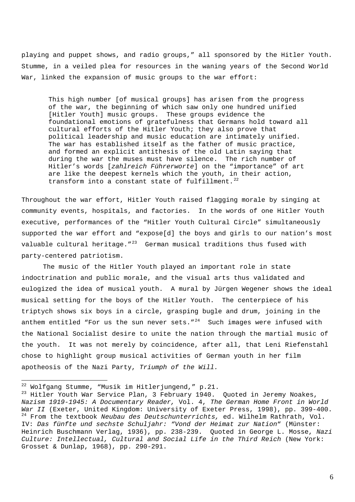playing and puppet shows, and radio groups," all sponsored by the Hitler Youth. Stumme, in a veiled plea for resources in the waning years of the Second World War, linked the expansion of music groups to the war effort:

This high number [of musical groups] has arisen from the progress of the war, the beginning of which saw only one hundred unified [Hitler Youth] music groups. These groups evidence the foundational emotions of gratefulness that Germans hold toward all cultural efforts of the Hitler Youth; they also prove that political leadership and music education are intimately unified. The war has established itself as the father of music practice, and formed an explicit antithesis of the old Latin saying that during the war the muses must have silence. The rich number of Hitler's words [*zahlreich Führerworte*] on the "importance" of art are like the deepest kernels which the youth, in their action, transform into a constant state of fulfillment.<sup>[22](#page-5-0)</sup>

Throughout the war effort, Hitler Youth raised flagging morale by singing at community events, hospitals, and factories. In the words of one Hitler Youth executive, performances of the "Hitler Youth Cultural Circle" simultaneously supported the war effort and "expose[d] the boys and girls to our nation's most valuable cultural heritage. $1\degree$ <sup>[23](#page-5-1)</sup> German musical traditions thus fused with party-centered patriotism.

The music of the Hitler Youth played an important role in state indoctrination and public morale, and the visual arts thus validated and eulogized the idea of musical youth. A mural by Jürgen Wegener shows the ideal musical setting for the boys of the Hitler Youth. The centerpiece of his triptych shows six boys in a circle, grasping bugle and drum, joining in the anthem entitled "For us the sun never sets. $1^{24}$  $1^{24}$  $1^{24}$  Such images were infused with the National Socialist desire to unite the nation through the martial music of the youth. It was not merely by coincidence, after all, that Leni Riefenstahl chose to highlight group musical activities of German youth in her film apotheosis of the Nazi Party, *Triumph of the Will.* 

<span id="page-5-2"></span>

<span id="page-5-1"></span><span id="page-5-0"></span><sup>&</sup>lt;sup>22</sup> Wolfgang Stumme, "Musik im Hitlerjungend," p.21.<br><sup>23</sup> Hitler Youth War Service Plan, 3 February 1940. Quoted in Jeremy Noakes, *Nazism 1919-1945: A Documentary Reader,* Vol. 4, *The German Home Front in World War II* (Exeter, United Kingdom: University of Exeter Press, 1998), pp. 399-400.<br><sup>24</sup> From the textbook *Neubau des Deutschunterrichts,* ed. Wilhelm Rathrath, Vol. IV: *Das fünfte und sechste Schuljahr: "Vond der Heimat zur Nation*" (Münster: Heinrich Buschmann Verlag, 1936), pp. 238-239. Quoted in George L. Mosse, *Nazi Culture: Intellectual, Cultural and Social Life in the Third Reich* (New York: Grosset & Dunlap, 1968), pp. 290-291.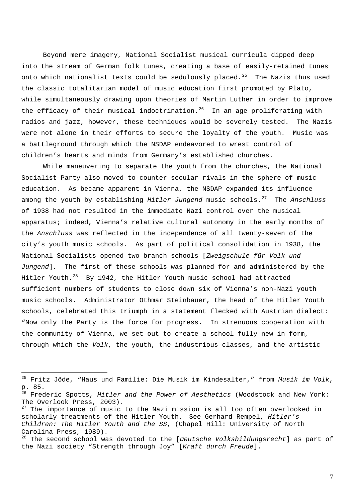Beyond mere imagery, National Socialist musical curricula dipped deep into the stream of German folk tunes, creating a base of easily-retained tunes onto which nationalist texts could be sedulously placed.<sup>[25](#page-6-0)</sup> The Nazis thus used the classic totalitarian model of music education first promoted by Plato, while simultaneously drawing upon theories of Martin Luther in order to improve the efficacy of their musical indoctrination.<sup>[26](#page-6-1)</sup> In an age proliferating with radios and jazz, however, these techniques would be severely tested. The Nazis were not alone in their efforts to secure the loyalty of the youth. Music was a battleground through which the NSDAP endeavored to wrest control of children's hearts and minds from Germany's established churches.

While maneuvering to separate the youth from the churches, the National Socialist Party also moved to counter secular rivals in the sphere of music education. As became apparent in Vienna, the NSDAP expanded its influence among the youth by establishing *Hitler Jungend* music schools.[27](#page-6-2) The *Anschluss* of 1938 had not resulted in the immediate Nazi control over the musical apparatus; indeed, Vienna's relative cultural autonomy in the early months of the *Anschluss* was reflected in the independence of all twenty-seven of the city's youth music schools. As part of political consolidation in 1938, the National Socialists opened two branch schools [*Zweigschule für Volk und Jungend*]*.* The first of these schools was planned for and administered by the Hitler Youth.<sup>[28](#page-6-3)</sup> By 1942, the Hitler Youth music school had attracted sufficient numbers of students to close down six of Vienna's non-Nazi youth music schools. Administrator Othmar Steinbauer, the head of the Hitler Youth schools, celebrated this triumph in a statement flecked with Austrian dialect: "Now only the Party is the force for progress. In strenuous cooperation with the community of Vienna, we set out to create a school fully new in form, through which the *Volk*, the youth, the industrious classes, and the artistic

<span id="page-6-0"></span><sup>25</sup> Fritz Jöde, "Haus und Familie: Die Musik im Kindesalter," from *Musik im Volk*, p. 85.

<span id="page-6-1"></span><sup>26</sup> Frederic Spotts, *Hitler and the Power of Aesthetics* (Woodstock and New York: The Overlook Press, 2003).

<span id="page-6-2"></span> $27$  The importance of music to the Nazi mission is all too often overlooked in scholarly treatments of the Hitler Youth. See Gerhard Rempel, *Hitler's Children: The Hitler Youth and the SS*, (Chapel Hill: University of North Carolina Press, 1989).

<span id="page-6-3"></span><sup>28</sup> The second school was devoted to the [*Deutsche Volksbildungsrecht*] as part of the Nazi society "Strength through Joy" [*Kraft durch Freude*].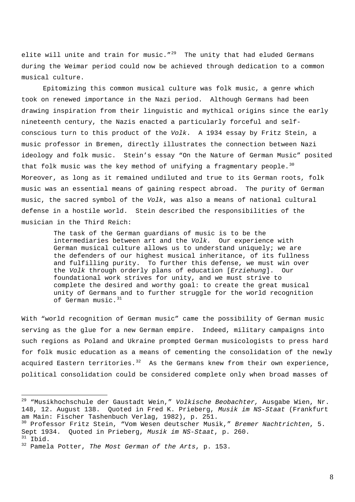elite will unite and train for music.  $129$  $129$  The unity that had eluded Germans during the Weimar period could now be achieved through dedication to a commo n musical cu lture.

musician in the Third Reich: Epitomizing this common musical culture was folk music, a genre which took on renewed importance in the Nazi period. Although Germans had been drawing inspiration from their linguistic and mythical origins since the early nineteenth century, the Nazis enacted a particularly forceful and selfconscious turn to this product of the *Volk*. A 1934 essay by Fritz Stein, a music professor in Bremen, directly illustrates the connection between Nazi ideology and folk music. Stein's essay "On the Nature of German Music" posited that folk music was the key method of unifying a fragmentary people.<sup>[30](#page-7-1)</sup> Moreover, as long as it remained undiluted and true to its German roots, folk music was an essential means of gaining respect abroad. The purity of German music, the sacred symbol of the *Volk*, was also a means of national cultural defense in a hostile world. Stein described the responsibilities of the

> The task of the German guardians of music is to be the intermediaries between art and the *Volk.* Our experience with German musical culture allows us to understand uniquely; we are the defenders of our highest musical inheritance, of its fullness and fulfilling purity. To further this defense, we must win over the *Volk* through orderly plans of education [*Erziehung*]. Our foundational work strives for unity, and we must strive to complete the desired and worthy goal: to create the great musical unity of Germans and to further struggle for the world recognition of German music.<sup>[31](#page-7-2)</sup>

With "world recognition of German music" came the possibility of German music serving as the glue for a new German empire. Indeed, military campaigns into such regions as Poland and Ukraine prompted German musicologists to press hard for folk music education as a means of cementing the consolidation of the newly acquired Eastern territories.<sup>[32](#page-7-3)</sup> As the Germans knew from their own experience, political consolidation could be considered complete only when broad masses of

<span id="page-7-0"></span><sup>29 &</sup>quot;Musikhochschule der Gaustadt Wein," *Volkische Beobachter,* Ausgabe Wien, Nr. 148, 12. August 138. Quoted in Fred K. Prieberg, *Musik im NS-Staat* (Frankfurt am Main: Fischer Tashenbuch Verlag, 1982), p. 251.

<span id="page-7-1"></span><sup>30</sup> Professor Fritz Stein, "Vom Wesen deutscher Musik," *Bremer Nachtrichten*, 5. Sept 1934. Quoted in Prieberg, *Musik im NS-Staat*, p. 260. 31 Ibid. 32 Pamela Potter, *The Most German of the Arts*, p. 153.

<span id="page-7-3"></span><span id="page-7-2"></span>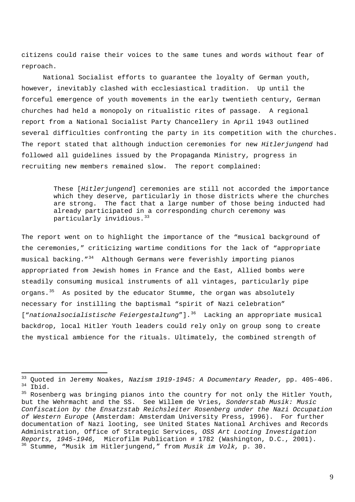citizens could raise their voices to the same tunes and words without fear of reproach.

National Socialist efforts to guarantee the loyalty of German youth, however, inevitably clashed with ecclesiastical tradition. Up until the forceful emergence of youth movements in the early twentieth century, German churches had held a monopoly on ritualistic rites of passage. A regional report from a National Socialist Party Chancellery in April 1943 outlined several difficulties confronting the party in its competition with the churches. The report stated that although induction ceremonies for new *Hitlerjungend* had followed all guidelines issued by the Propaganda Ministry, progress in recruiting new members remained slow. The report complained:

> These [*Hitlerjungend*] ceremonies are still not accorded the importance which they deserve, particularly in those districts where the churches are strong. The fact that a large number of those being inducted had already participated in a corresponding church ceremony was particularly invidious.<sup>[33](#page-8-0)</sup>

The report went on to highlight the importance of the "musical background of the ceremonies," criticizing wartime conditions for the lack of "appropriate musical backing."[34](#page-8-1) Although Germans were feverishly importing pianos appropriated from Jewish homes in France and the East, Allied bombs were steadily consuming musical instruments of all vintages, particularly pipe organs. $35$  As posited by the educator Stumme, the organ was absolutely necessary for instilling the baptismal "spirit of Nazi cele bration" ["*nationalsocialistische Feiergestaltung*"]. [36](#page-8-3) Lacking an appropriate musical backdrop, local Hitler Youth leaders could rely only on group song to create the mystical ambience for the rituals. Ultimately, the combined strength of

<span id="page-8-0"></span><sup>&</sup>lt;sup>33</sup> Quoted in Jeremy Noakes, *Nazism 1919-1945: A Documentary Reader*, pp. 405-406.<br><sup>34</sup> Ibid.<br><sup>35</sup> Rosenberg was bringing pianos into the country for not only the Hitler Youth,

<span id="page-8-3"></span><span id="page-8-2"></span><span id="page-8-1"></span>but the Wehrmacht and the SS. See Willem de Vries, *Sonderstab Musik: Music Confiscation by the Ensatzstab Reichsleiter Rosenberg under the Nazi Occupation of Western Europe* (Amsterdam: Amsterdam University Press, 1996). For further documentation of Nazi looting, see United States National Archives and Records Administration, Office of Strategic Services, *OSS Art Looting Investigation Reports, 1945-1946,* Microfilm Publication # 1782 (Washington, D.C., 2001). 36 Stumme, "Musik im Hitlerjungend," from *Musik im Volk,* p. 30.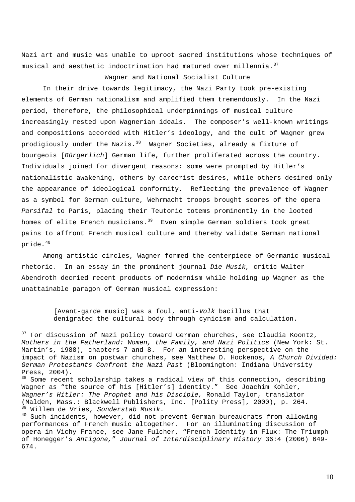Nazi art and music was unable to uproot sacred institutions whose techniques of musical and aesthetic indoctrination had matured over millennia.  $37$ 

# Wagner and National Socialist Culture

In their drive towards legitimacy, the Nazi Party took pre-existing elements of German nationalism and amplified them tremendously. In the Nazi period, therefore, the philosophical underpinnings of musical culture increasingly rested upon Wagnerian ideals. The composer's well-known writings and compositions accorded with Hitler's ideology, and the cult of Wagner grew prodigiously under the Nazis.<sup>[38](#page-9-1)</sup> Wagner Societies, already a fixture of bourgeois [*Bürgerlich*] German life, further proliferated across the country. Individuals joined for divergent reasons: some were prompted by Hitler's nationalistic awakening, others by careerist desires, while others desired only the appearance of ideological conformity. Reflecting the prevalence of Wagner as a symbol for German culture, Wehrmacht troops brought scores of the opera *Parsifal* to Paris, placing their Teutonic totems prominently in the looted homes of elite French musicians. $39$  Even simple German soldiers took great pains to affront French musical culture and thereby validate German national pride .40

Among artistic circles, Wagner formed the centerpiece of Germanic musical Abendroth decried recent products of modernism while holding up Wagner as the unattainable paragon of German musical expression: rhetoric. In an essay in the prominent journal *Die Musik,* critic Walter

> denigrated the cultural body through cynicism and calculation. [Avant-garde music] was a foul, anti-*Volk* bacillus that

<span id="page-9-0"></span> $37$  For discussion of Nazi policy toward German churches, see Claudia Koontz, *Mothers in the Fatherland: Women, the Family, and Nazi Politics* (New York: St. Martin's, 1988), chapters 7 and 8. For an interesting perspective on the impact of Nazism on postwar churches, see Matthew D. Hockenos, *A Church Divided: German Protestants Confront the Nazi Past* (Bloomington: Indiana University Press, 2004).

<span id="page-9-1"></span><sup>&</sup>lt;sup>38</sup> Some recent scholarship takes a radical view of this connection, describing Wagner as "the source of his [Hitler's] identity." See Joachim Kohler, *Wagner's Hitler: The Prophet and his Disciple,* Ronald Taylor, translator (Malden, Mass.: Blackwell Publishers, Inc. [Polity Press], 2000), p. 264. <sup>39</sup> Willem de Vries, *Sonderstab Musik*.<br><sup>40</sup> Such incidents, however, did not prevent German bureaucrats from allowing

<span id="page-9-2"></span>performances of French music altogether. For an illuminating discussion of opera in Vichy France, see Jane Fulcher, "French Identity in Flux: The Triumph of Honegger's *Antigone,*" *Journal of Interdisciplinary History* 36:4 (2006) 649- 674.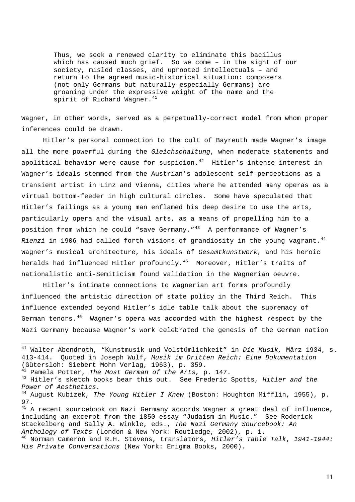Thus, we seek a renewed clarity to eliminate this bacillus which has caused much grief. So we come – in the sight of our society, misled classes, and uprooted intellectuals – and return to the agreed music-historical situation: composer s (not only Germans but naturally especially Germans) are groaning under the expressive weight of the name and the<br>apirit of Pichard Wagner <sup>41</sup> spirit of Richard Wagner.

Wagner, in other words, served as a perpetually-correct model from whom proper infer ences could be drawn.

transient artist in Linz and Vienna, cities where he attended many operas as a *Rienzi* in 1906 had called forth visions of grandiosity in the young vagrant.[44](#page-10-2) Wagner's musical architecture, his ideals of *Gesamtkunstwerk,* and his heroic nationalistic anti-Semiticism found validation in the Wagnerian oeuvre. Hitler's personal connection to the cult of Bayreuth made Wagner's image all the more powerful during the *Gleichschaltung*, when moderate statements and apolitical behavior were cause for suspicion. $42$  Hitler's intense interest in Wagner's ideals stemmed from the Austrian's adolescent self-perceptions as a virtual bottom-feeder in high cultural circles. Some have speculated that Hitler's failings as a young man enflamed his deep desire to use the arts, particularly opera and the visual arts, as a means of propelling him to a position from which he could "save Germany."<sup>[43](#page-10-1)</sup> A performance of Wagner's heralds had influenced Hitler profoundly.<sup>[45](#page-10-3)</sup> Moreover, Hitler's traits of

Nazi Germany because Wagner's work celebrated the genesis of the German nation Hitler's intimate connections to Wagnerian art forms profoundly influenced the artistic direction of state policy in the Third Reich. This influence extended beyond Hitler's idle table talk about the supremacy of German tenors. $46$  Wagner's opera was accorded with the highest respect by the

<sup>41</sup> Walter Abendroth, "Kunstmusik und Volstümlichkeit" in *Die Musik,* März 1934, s. 413-414. Quoted in Joseph Wulf, *Musik im Dritten Reich: Eine Dokumentation*  (Gütersloh: Siebert Mohn Verlag, 1963), p. 359.<br><sup>42</sup> Pamela Potter, *The Most German of the Arts,* p. 147.

<span id="page-10-0"></span>

<span id="page-10-1"></span><sup>&</sup>lt;sup>43</sup> Hitler's sketch books bear this out. See Frederic Spotts, Hitler and the *Power of Aesthetics.*

<span id="page-10-2"></span><sup>44</sup> August Kubizek, *The Young Hitler I Knew* (Boston: Houghton Mifflin, 1955), p. 97.

<span id="page-10-3"></span><sup>&</sup>lt;sup>45</sup> A recent sourcebook on Nazi Germany accords Wagner a great deal of influence, including an excerpt from the 1850 essay "Judaism in Music." See Roderick Stackelberg and Sally A. Winkle, eds., *The Nazi Germany Sourcebook: An Anthology of Texts* (London & New York: Routledge, 2002), p. 1. 46 Norman Cameron and R.H. Stevens, translators, *Hitler's Table Talk*, *1941-1944:* 

<span id="page-10-4"></span>*His Private Conversations* (New York: Enigma Books, 2000).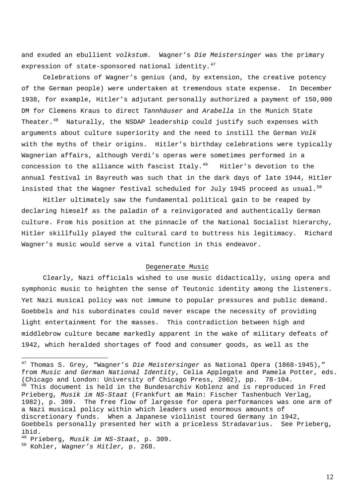and exuded an ebullient *volkstum.* Wagner's *Die Meistersinger* was the primary expression of state-sponsored national identity.<sup>[47](#page-11-0)</sup>

Celebrations of Wagner's genius (and, by extension, the creative potency of the German people) were undertaken at tremendous state expense. In December 1938, for example, Hitler's adjutant personally authorized a payment of 150,000 DM for Clemens Kraus to direct *Tannhäuser* and *Arabella* in the Munich State Theater.<sup>[48](#page-11-1)</sup> Naturally, the NSDAP leadership could justify such expenses with arguments about culture superiority and the need to instill the German *Volk*  with the myths of their origins. Hitler's birthday celebrations were typically Wagnerian affairs, although Verdi's operas were sometimes performed in a concession to the alliance with fascist Italy. $49$  Hitler's devotion to the annual festival in Bayreuth was such that in the dark days of late 1944, Hitler insisted that the Wagner festival scheduled for July 1945 proceed as usual.<sup>[50](#page-11-3)</sup>

Hitler ultimately saw the fundamental political gain to be reaped by declaring himself as the paladin of a reinvigorated and authentically German culture. From his position at the pinnacle of the National Socialist hierarchy, Hitler skillfully played the cultural card to buttress his legitimacy. Richard Wagner's music would serve a vital function in this endeavor.

#### Degenerate Music

Clearly, Nazi officials wished to use music didactically, using opera and symphonic music to heighten the sense of Teutonic identity among the listeners. Yet Nazi musical policy was not immune to popular pressures and public demand. Goebbels and his subordinates could never escape the necessity of providing light entertainment for the masses. This contradiction between high and middlebrow culture became markedly apparent in the wake of military defeats of 1942, which heralded shortages of food and consumer goods, as well as the

<span id="page-11-1"></span><span id="page-11-0"></span><sup>47</sup> Thomas S. Grey, "Wagner's *Die Meistersinger* as National Opera (1868-1945)," from *Music and German National Identity*, Celia Applegate and Pamela Potter, eds. (Chicago and London: University of Chicago Press, 2002), pp. 78-104. <sup>48</sup> This document is held in the Bundesarchiv Koblenz and is reproduced in Fred Prieberg, *Musik im NS-Staat* (Frankfurt am Main: Fischer Tashenbuch Verlag, 1982), p. 309. The free flow of largesse for opera performances was one arm of a Nazi musical policy within which leaders used enormous amounts of discretionary funds. When a Japanese violinist toured Germany in 1942, Goebbels personally presented her with a priceless Stradavarius. See Prieberg, ibid.

<span id="page-11-3"></span><span id="page-11-2"></span><sup>49</sup> Prieberg, *Musik im NS-Staat*, p. 309. 50 Kohler, *Wagner's Hitler,* p. 268.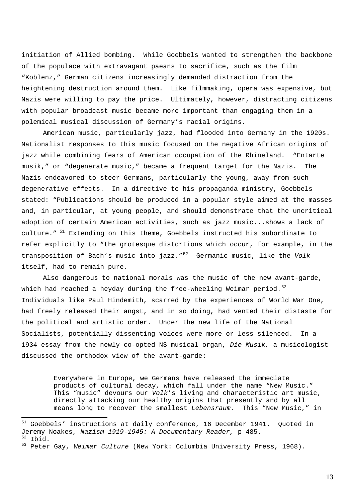initiation of Allied bombing. While Goebbels wanted to strengthen the backbone of the populace with extravagant paeans to sacrifice, such as the film "Koblenz," German citizens increasingly demanded distraction from the heightening destruction around them. Like filmmaking, opera was expensive, but Nazis were willing to pay the price. Ultimately, however, distracting citizens with popular broadcast music became more important than engaging them in a polemical musical discussion of Germany's racial origins.

American music, particularly jazz, had flooded into Germany in the 1920s. Nationalist responses to this music focused on the negative African origins of jazz while combining fears of American occupation of the Rhineland. "Entarte musik," or "degenerate music," became a frequent target for the Nazis. The Nazis endeavored to steer Germans, particularly the young, away from such degenerative effects. In a directive to his propaganda ministry, Goebbels stated: "Publications should be produced in a popular style aimed at the masses and, in particular, at young people, and should demonstrate that the uncritical adoption of certain American activities, such as jazz music...shows a lack of culture." [51](#page-12-0) Extending on this theme, Goebbels instructed his subordinate to refer explicitly to "the grotesque distortions which occur, for example, in the transposition of Bach's music into jazz."[52](#page-12-1) Germanic music, like the *Volk*  itself, had to remain pure.

 Also dangerous to national morals was the music of the new avant-garde, which had reached a heyday during the free-wheeling Weimar period. $53$ Individuals like Paul Hindemith, scarred by the experiences of World War One, had freely released their angst, and in so doing, had vented their distaste for the political and artistic order. Under the new life of the National Socialists, potentially dissenting voices were more or less silenced. In a 1934 essay from the newly co-opted NS musical organ, *Die Musik,* a musicologist discussed the orthodox view of the avant-garde:

> Everywhere in Europe, we Germans have released the immediate products of cultural decay, which fall under the name "New Music." This "music" devours our *Volk*'s living and characteristic art music, directly attacking our healthy origins that presently and by all means long to recover the smallest *Lebensraum.* This "New Music," in

<span id="page-12-0"></span><sup>51</sup> Goebbels' instructions at daily conference, 16 December 1941. Quoted in Jeremy Noakes, *Nazism 1919-1945: A Documentary Reader*, p 485.<br><sup>52</sup> Ibid.<br><sup>53</sup> Peter Gay, *Weimar Culture* (New York: Columbia University Press, 1968).

<span id="page-12-2"></span><span id="page-12-1"></span>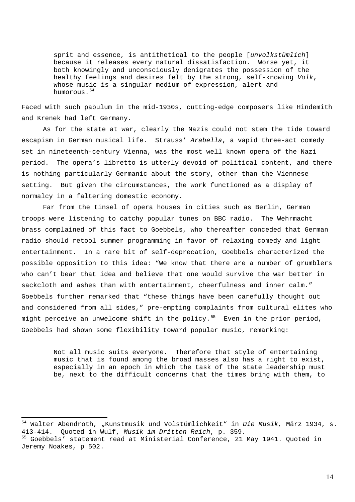sprit and essence, is antithetical to the people [*unvolkstümlich*] because it releases every natural dissatisfaction. Worse yet, it both knowingly and unconsciously denigrates the possession of the healthy feelings and desires felt by the strong, self-knowing *Volk*, whose music is a singular medium of expression, alert and humorous.<sup>[54](#page-13-0)</sup>

Faced with such pabulum in the mid-1930s, cutting-edge composers like Hindemith and Krenek had left Germany.

As for the state at war, clearly the Nazis could not stem the tide toward escapism in German musical life. Strauss' *Arabella*, a vapid three-act comedy set in nineteenth-century Vienna, was the most well known opera of the Nazi period. The opera's libretto is utterly devoid of political content, and there is nothing particularly Germanic about the story, other than the Viennese setting. But given the circumstances, the work functioned as a display of normalcy in a faltering domestic economy.

Far from the tinsel of opera houses in cities such as Berlin, German troops were listening to catchy popular tunes on BBC radio. The Wehrmacht brass complained of this fact to Goebbels, who thereafter conceded that German radio should retool summer programming in favor of relaxing comedy and light entertainment. In a rare bit of self-deprecation, Goebbels characterized the possible opposition to this idea: "We know that there are a number of grumblers who can't bear that idea and believe that one would survive the war better in sackcloth and ashes than with entertainment, cheerfulness and inner calm." Goebbels further remarked that "these things have been carefully thought out and considered from all sides," pre-empting complaints from cultural elites who might perceive an unwelcome shift in the policy.<sup>[55](#page-13-1)</sup> Even in the prior period, Goebbels had shown some flexibility toward popular music, remarking:

> Not all music suits everyone. Therefore that style of entertaining music that is found among the broad masses also has a right to exist, especially in an epoch in which the task of the state leadership must be, next to the difficult concerns that the times bring with them, to

<span id="page-13-0"></span><sup>54</sup> Walter Abendroth, "Kunstmusik und Volstümlichkeit" in *Die Musik,* März 1934, s. 413-414. Quoted in Wulf, *Musik im Dritten Reich*, p. 359.<br><sup>55</sup> Goebbels' statement read at Ministerial Conference, 21 May 1941. Quoted in

<span id="page-13-1"></span>Jeremy Noakes, p 502.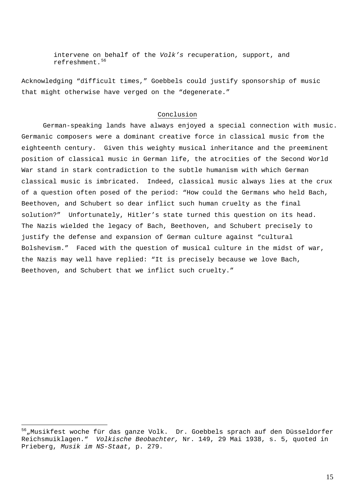intervene on behalf of the *Volk's* recuperation, support, and refreshment.<sup>[56](#page-14-0)</sup>

Acknowledging "difficult times," Goebbels could justify sponsorship of music that might otherwise have verged on the "degenerate."

## Conclusion

German-speaking lands have always enjoyed a special connection with music. Germanic composers were a dominant creative force in classical music from the eighteenth century. Given this weighty musical inheritance and the preeminent position of classical music in German life, the atrocities of the Second World War stand in stark contradiction to the subtle humanism with which German classical music is imbricated. Indeed, classical music always lies at the crux of a question often posed of the period: "How could the Germans who held Bach, Beethoven, and Schubert so dear inflict such human cruelty as the final solution?" Unfortunately, Hitler's state turned this question on its head. The Nazis wielded the legacy of Bach, Beethoven, and Schubert precisely to justify the defense and expansion of German culture against "cultural Bolshevism." Faced with the question of musical culture in the midst of war, the Nazis may well have replied: "It is precisely because we love Bach, Beethoven, and Schubert that we inflict such cruelty."

<span id="page-14-0"></span><sup>&</sup>lt;sup>56</sup> "Musikfest woche für das ganze Volk. Dr. Goebbels sprach auf den Düsseldorfer Reichsmuiklagen." *Volkische Beobachter,* Nr. 149, 29 Mai 1938, s. 5, quoted in Prieberg, *Musik im NS-Staat*, p. 279.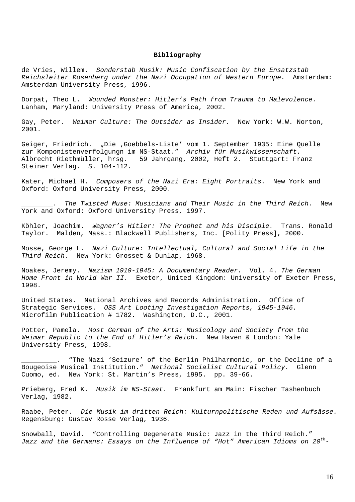#### **Bibliography**

de Vries, Willem. *Sonderstab Musik: Music Confiscation by the Ensatzstab Reichsleiter Rosenberg under the Nazi Occupation of Western Europe.* Amsterdam: Amsterdam University Press, 1996.

Dorpat, Theo L. *Wounded Monster: Hitler's Path from Trauma to Malevolence.*  Lanham, Maryland: University Press of America, 2002.

Gay, Peter. *Weimar Culture: The Outsider as Insider.* New York: W.W. Norton, 2001.

Geiger, Friedrich. "Die ,Goebbels-Liste' vom 1. September 1935: Eine Quelle zur Komponistenverfolgungn im NS-Staat." *Archiv für Musikwissenschaft.* Albrecht Riethmüller, hrsg. 59 Jahrgang, 2002, Heft 2. Stuttgart: Franz Steiner Verlag. S. 104-112.

Kater, Michael H. *Composers of the Nazi Era: Eight Portraits.* New York and Oxford: Oxford University Press, 2000.

\_\_\_\_\_\_\_\_. *The Twisted Muse: Musicians and Their Music in the Third Reich.* New York and Oxford: Oxford University Press, 1997.

Köhler, Joachim. *Wagner's Hitler: The Prophet and his Disciple.* Trans. Ronald Taylor. Malden, Mass.: Blackwell Publishers, Inc. [Polity Press], 2000.

Mosse, George L. *Nazi Culture: Intellectual, Cultural and Social Life in the Third Reich.* New York: Grosset & Dunlap, 1968.

Noakes, Jeremy. *Nazism 1919-1945: A Documentary Reader.* Vol. 4. *The German Home Front in World War II.* Exeter, United Kingdom: University of Exeter Press, 1998.

United States. National Archives and Records Administration. Office of Strategic Services. *OSS Art Looting Investigation Reports, 1945-1946.*  Microfilm Publication # 1782. Washington, D.C., 2001.

Potter, Pamela. *Most German of the Arts: Musicology and Society from the Weimar Republic to the End of Hitler's Reich.* New Haven & London: Yale University Press, 1998.

"The Nazi 'Seizure' of the Berlin Philharmonic, or the Decline of a Bougeoise Musical Institution." *National Socialist Cultural Policy.* Glenn Cuomo, ed. New York: St. Martin's Press, 1995. pp. 39-66.

Prieberg, Fred K. *Musik im NS-Staat.* Frankfurt am Main: Fischer Tashenbuch Verlag, 1982.

Raabe, Peter. *Die Musik im dritten Reich: Kulturnpolitische Reden und Aufsässe.*  Regensburg: Gustav Rosse Verlag, 1936.

Snowball, David. "Controlling Degenerate Music: Jazz in the Third Reich." *Jazz and the Germans: Essays on the Influence of "Hot" American Idioms on 20th-*